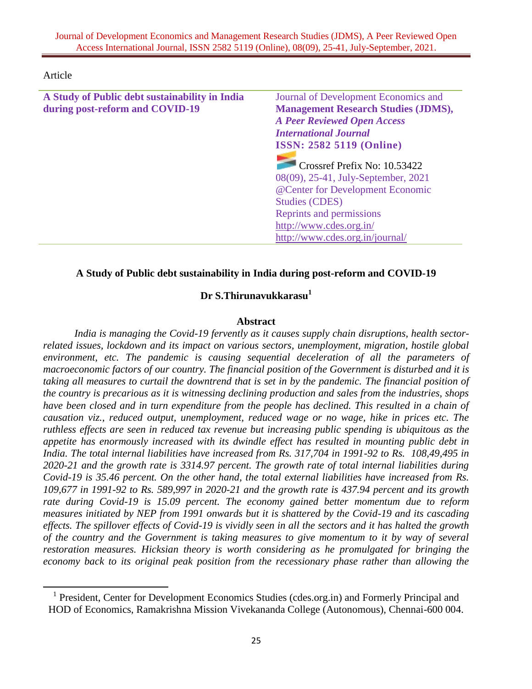Article

 $\overline{a}$ 

| A Study of Public debt sustainability in India | Journal of Development Economics and                                                                                                                                                                                        |
|------------------------------------------------|-----------------------------------------------------------------------------------------------------------------------------------------------------------------------------------------------------------------------------|
| during post-reform and COVID-19                | <b>Management Research Studies (JDMS),</b>                                                                                                                                                                                  |
|                                                | <b>A Peer Reviewed Open Access</b>                                                                                                                                                                                          |
|                                                | <b>International Journal</b>                                                                                                                                                                                                |
|                                                | <b>ISSN: 2582 5119 (Online)</b>                                                                                                                                                                                             |
|                                                | Crossref Prefix No: 10.53422<br>08(09), 25-41, July-September, 2021<br>@ Center for Development Economic<br><b>Studies (CDES)</b><br>Reprints and permissions<br>http://www.cdes.org.in/<br>http://www.cdes.org.in/journal/ |

# **A Study of Public debt sustainability in India during post-reform and COVID-19**

# **Dr S.Thirunavukkarasu<sup>1</sup>**

### **Abstract**

*India is managing the Covid-19 fervently as it causes supply chain disruptions, health sectorrelated issues, lockdown and its impact on various sectors, unemployment, migration, hostile global environment, etc. The pandemic is causing sequential deceleration of all the parameters of macroeconomic factors of our country. The financial position of the Government is disturbed and it is taking all measures to curtail the downtrend that is set in by the pandemic. The financial position of the country is precarious as it is witnessing declining production and sales from the industries, shops have been closed and in turn expenditure from the people has declined. This resulted in a chain of causation viz., reduced output, unemployment, reduced wage or no wage, hike in prices etc. The ruthless effects are seen in reduced tax revenue but increasing public spending is ubiquitous as the appetite has enormously increased with its dwindle effect has resulted in mounting public debt in India. The total internal liabilities have increased from Rs. 317,704 in 1991-92 to Rs. 108,49,495 in 2020-21 and the growth rate is 3314.97 percent. The growth rate of total internal liabilities during Covid-19 is 35.46 percent. On the other hand, the total external liabilities have increased from Rs. 109,677 in 1991-92 to Rs. 589,997 in 2020-21 and the growth rate is 437.94 percent and its growth rate during Covid-19 is 15.09 percent. The economy gained better momentum due to reform measures initiated by NEP from 1991 onwards but it is shattered by the Covid-19 and its cascading effects. The spillover effects of Covid-19 is vividly seen in all the sectors and it has halted the growth of the country and the Government is taking measures to give momentum to it by way of several restoration measures. Hicksian theory is worth considering as he promulgated for bringing the economy back to its original peak position from the recessionary phase rather than allowing the* 

<sup>&</sup>lt;sup>1</sup> President, Center for Development Economics Studies (cdes.org.in) and Formerly Principal and HOD of Economics, Ramakrishna Mission Vivekananda College (Autonomous), Chennai-600 004.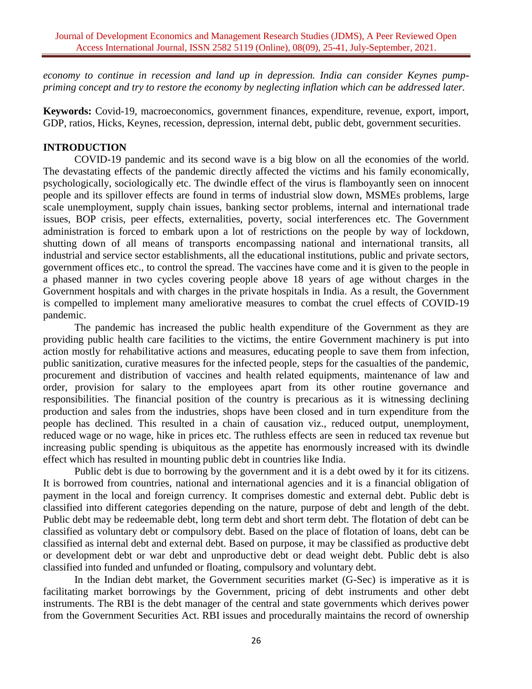*economy to continue in recession and land up in depression. India can consider Keynes pumppriming concept and try to restore the economy by neglecting inflation which can be addressed later.*

**Keywords:** Covid-19, macroeconomics, government finances, expenditure, revenue, export, import, GDP, ratios, Hicks, Keynes, recession, depression, internal debt, public debt, government securities.

## **INTRODUCTION**

COVID-19 pandemic and its second wave is a big blow on all the economies of the world. The devastating effects of the pandemic directly affected the victims and his family economically, psychologically, sociologically etc. The dwindle effect of the virus is flamboyantly seen on innocent people and its spillover effects are found in terms of industrial slow down, MSMEs problems, large scale unemployment, supply chain issues, banking sector problems, internal and international trade issues, BOP crisis, peer effects, externalities, poverty, social interferences etc. The Government administration is forced to embark upon a lot of restrictions on the people by way of lockdown, shutting down of all means of transports encompassing national and international transits, all industrial and service sector establishments, all the educational institutions, public and private sectors, government offices etc., to control the spread. The vaccines have come and it is given to the people in a phased manner in two cycles covering people above 18 years of age without charges in the Government hospitals and with charges in the private hospitals in India. As a result, the Government is compelled to implement many ameliorative measures to combat the cruel effects of COVID-19 pandemic.

The pandemic has increased the public health expenditure of the Government as they are providing public health care facilities to the victims, the entire Government machinery is put into action mostly for rehabilitative actions and measures, educating people to save them from infection, public sanitization, curative measures for the infected people, steps for the casualties of the pandemic, procurement and distribution of vaccines and health related equipments, maintenance of law and order, provision for salary to the employees apart from its other routine governance and responsibilities. The financial position of the country is precarious as it is witnessing declining production and sales from the industries, shops have been closed and in turn expenditure from the people has declined. This resulted in a chain of causation viz., reduced output, unemployment, reduced wage or no wage, hike in prices etc. The ruthless effects are seen in reduced tax revenue but increasing public spending is ubiquitous as the appetite has enormously increased with its dwindle effect which has resulted in mounting public debt in countries like India.

Public debt is due to borrowing by the government and it is a debt owed by it for its citizens. It is borrowed from countries, national and international agencies and it is a financial obligation of payment in the local and foreign currency. It comprises domestic and external debt. Public debt is classified into different categories depending on the nature, purpose of debt and length of the debt. Public debt may be redeemable debt, long term debt and short term debt. The flotation of debt can be classified as voluntary debt or compulsory debt. Based on the place of flotation of loans, debt can be classified as internal debt and external debt. Based on purpose, it may be classified as productive debt or development debt or war debt and unproductive debt or dead weight debt. Public debt is also classified into funded and unfunded or floating, compulsory and voluntary debt.

In the Indian debt market, the Government securities market (G-Sec) is imperative as it is facilitating market borrowings by the Government, pricing of debt instruments and other debt instruments. The RBI is the debt manager of the central and state governments which derives power from the Government Securities Act. RBI issues and procedurally maintains the record of ownership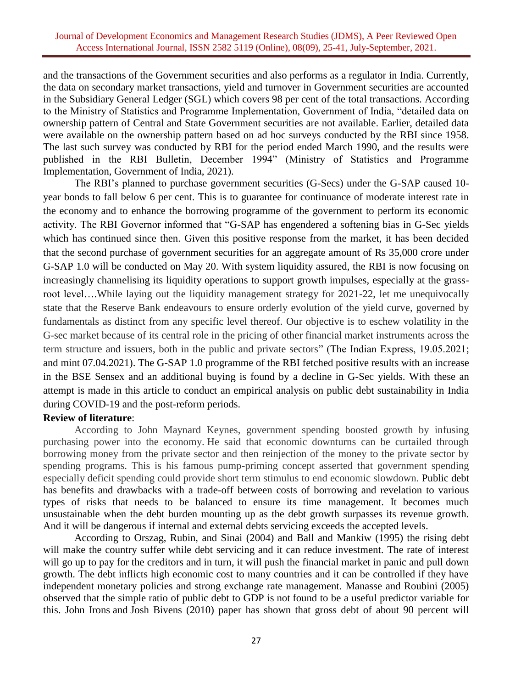and the transactions of the Government securities and also performs as a regulator in India. Currently, the data on secondary market transactions, yield and turnover in Government securities are accounted in the Subsidiary General Ledger (SGL) which covers 98 per cent of the total transactions. According to the Ministry of Statistics and Programme Implementation, Government of India, "detailed data on ownership pattern of Central and State Government securities are not available. Earlier, detailed data were available on the ownership pattern based on ad hoc surveys conducted by the RBI since 1958. The last such survey was conducted by RBI for the period ended March 1990, and the results were published in the RBI Bulletin, December 1994" (Ministry of Statistics and Programme Implementation, Government of India, 2021).

The RBI's planned to purchase government securities (G-Secs) under the G-SAP caused 10 year bonds to fall below 6 per cent. This is to guarantee for continuance of moderate interest rate in the economy and to enhance the borrowing programme of the government to perform its economic activity. The RBI Governor informed that "G-SAP has engendered a softening bias in G-Sec yields which has continued since then. Given this positive response from the market, it has been decided that the second purchase of government securities for an aggregate amount of Rs 35,000 crore under G-SAP 1.0 will be conducted on May 20. With system liquidity assured, the RBI is now focusing on increasingly channelising its liquidity operations to support growth impulses, especially at the grassroot level….While laying out the liquidity management strategy for 2021-22, let me unequivocally state that the Reserve Bank endeavours to ensure orderly evolution of the yield curve, governed by fundamentals as distinct from any specific level thereof. Our objective is to eschew volatility in the G-sec market because of its central role in the pricing of other financial market instruments across the term structure and issuers, both in the public and private sectors" (The Indian Express, 19.05.2021; and mint 07.04.2021). The G-SAP 1.0 programme of the RBI fetched positive results with an increase in the BSE Sensex and an additional buying is found by a decline in G-Sec yields. With these an attempt is made in this article to conduct an empirical analysis on public debt sustainability in India during COVID-19 and the post-reform periods.

## **Review of literature**:

According to John Maynard Keynes, government spending boosted growth by infusing purchasing power into the economy. He said that economic downturns can be curtailed through borrowing money from the private sector and then reinjection of the money to the private sector by spending programs. This is his famous pump-priming concept asserted that government spending especially deficit spending could provide short term stimulus to end economic slowdown. Public debt has benefits and drawbacks with a trade-off between costs of borrowing and revelation to various types of risks that needs to be balanced to ensure its time management. It becomes much unsustainable when the debt burden mounting up as the debt growth surpasses its revenue growth. And it will be dangerous if internal and external debts servicing exceeds the accepted levels.

According to Orszag, Rubin, and Sinai (2004) and Ball and Mankiw (1995) the rising debt will make the country suffer while debt servicing and it can reduce investment. The rate of interest will go up to pay for the creditors and in turn, it will push the financial market in panic and pull down growth. The debt inflicts high economic cost to many countries and it can be controlled if they have independent monetary policies and strong exchange rate management. Manasse and Roubini (2005) observed that the simple ratio of public debt to GDP is not found to be a useful predictor variable for this. [John Irons](https://www.epi.org/people/john-irons-2/) and [Josh Bivens](https://www.epi.org/people/josh-bivens/) (2010) paper has shown that gross debt of about 90 percent will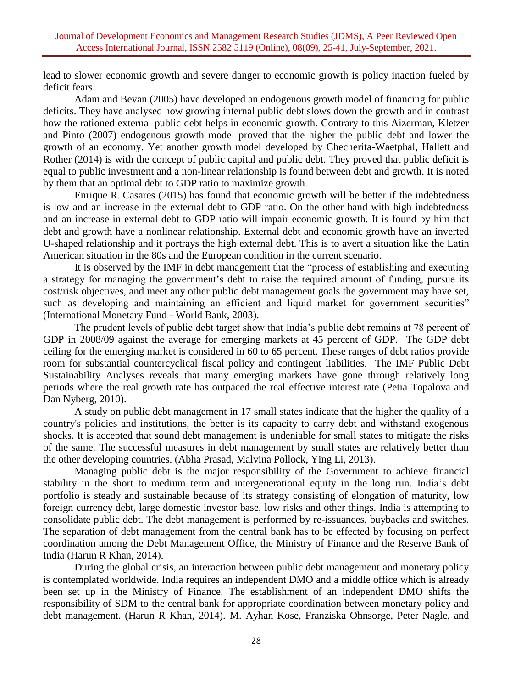lead to slower economic growth and severe danger to economic growth is policy inaction fueled by deficit fears.

Adam and Bevan (2005) have developed an endogenous growth model of financing for public deficits. They have analysed how growing internal public debt slows down the growth and in contrast how the rationed external public debt helps in economic growth. Contrary to this Aizerman, Kletzer and Pinto (2007) endogenous growth model proved that the higher the public debt and lower the growth of an economy. Yet another growth model developed by Checherita-Waetphal, Hallett and Rother (2014) is with the concept of public capital and public debt. They proved that public deficit is equal to public investment and a non-linear relationship is found between debt and growth. It is noted by them that an optimal debt to GDP ratio to maximize growth.

Enrique R. Casares (2015) has found that economic growth will be better if the indebtedness is low and an increase in the external debt to GDP ratio. On the other hand with high indebtedness and an increase in external debt to GDP ratio will impair economic growth. It is found by him that debt and growth have a nonlinear relationship. External debt and economic growth have an inverted U-shaped relationship and it portrays the high external debt. This is to avert a situation like the Latin American situation in the 80s and the European condition in the current scenario.

It is observed by the IMF in debt management that the "process of establishing and executing a strategy for managing the government's debt to raise the required amount of funding, pursue its cost/risk objectives, and meet any other public debt management goals the government may have set, such as developing and maintaining an efficient and liquid market for government securities" (International Monetary Fund - World Bank, 2003).

The prudent levels of public debt target show that India's public debt remains at 78 percent of GDP in 2008/09 against the average for emerging markets at 45 percent of GDP. The GDP debt ceiling for the emerging market is considered in 60 to 65 percent. These ranges of debt ratios provide room for substantial countercyclical fiscal policy and contingent liabilities. The IMF Public Debt Sustainability Analyses reveals that many emerging markets have gone through relatively long periods where the real growth rate has outpaced the real effective interest rate (Petia Topalova and Dan Nyberg, 2010).

A study on public debt management in 17 small states indicate that the higher the quality of a country's policies and institutions, the better is its capacity to carry debt and withstand exogenous shocks. It is accepted that sound debt management is undeniable for small states to mitigate the risks of the same. The successful measures in debt management by small states are relatively better than the other developing countries. (Abha Prasad, Malvina Pollock, Ying Li, 2013).

Managing public debt is the major responsibility of the Government to achieve financial stability in the short to medium term and intergenerational equity in the long run. India's debt portfolio is steady and sustainable because of its strategy consisting of elongation of maturity, low foreign currency debt, large domestic investor base, low risks and other things. India is attempting to consolidate public debt. The debt management is performed by re-issuances, buybacks and switches. The separation of debt management from the central bank has to be effected by focusing on perfect coordination among the Debt Management Office, the Ministry of Finance and the Reserve Bank of India (Harun R Khan, 2014).

During the global crisis, an interaction between public debt management and monetary policy is contemplated worldwide. India requires an independent DMO and a middle office which is already been set up in the Ministry of Finance. The establishment of an independent DMO shifts the responsibility of SDM to the central bank for appropriate coordination between monetary policy and debt management. (Harun R Khan, 2014). M. Ayhan Kose, Franziska Ohnsorge, Peter Nagle, and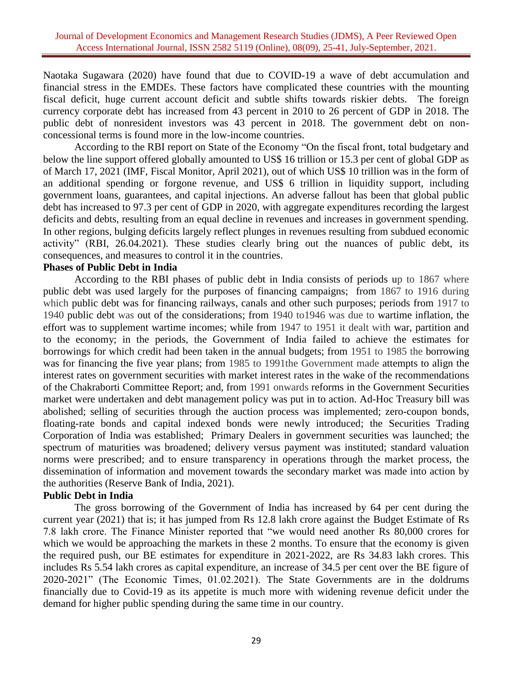Naotaka Sugawara (2020) have found that due to COVID-19 a wave of debt accumulation and financial stress in the EMDEs. These factors have complicated these countries with the mounting fiscal deficit, huge current account deficit and subtle shifts towards riskier debts. The foreign currency corporate debt has increased from 43 percent in 2010 to 26 percent of GDP in 2018. The public debt of nonresident investors was 43 percent in 2018. The government debt on nonconcessional terms is found more in the low-income countries.

According to the RBI report on State of the Economy "On the fiscal front, total budgetary and below the line support offered globally amounted to US\$ 16 trillion or 15.3 per cent of global GDP as of March 17, 2021 (IMF, Fiscal Monitor, April 2021), out of which US\$ 10 trillion was in the form of an additional spending or forgone revenue, and US\$ 6 trillion in liquidity support, including government loans, guarantees, and capital injections. An adverse fallout has been that global public debt has increased to 97.3 per cent of GDP in 2020, with aggregate expenditures recording the largest deficits and debts, resulting from an equal decline in revenues and increases in government spending. In other regions, bulging deficits largely reflect plunges in revenues resulting from subdued economic activity" (RBI, 26.04.2021). These studies clearly bring out the nuances of public debt, its consequences, and measures to control it in the countries.

#### **Phases of Public Debt in India**

According to the RBI phases of public debt in India consists of periods up to 1867 where public debt was used largely for the purposes of financing campaigns; from 1867 to 1916 during which public debt was for financing railways, canals and other such purposes; periods from 1917 to 1940 public debt was out of the considerations; from 1940 to1946 was due to wartime inflation, the effort was to supplement wartime incomes; while from 1947 to 1951 it dealt with war, partition and to the economy; in the periods, the Government of India failed to achieve the estimates for borrowings for which credit had been taken in the annual budgets; from 1951 to 1985 the borrowing was for financing the five year plans; from 1985 to 1991the Government made attempts to align the interest rates on government securities with market interest rates in the wake of the recommendations of the Chakraborti Committee Report; and, from 1991 onwards reforms in the Government Securities market were undertaken and debt management policy was put in to action. Ad-Hoc Treasury bill was abolished; selling of securities through the auction process was implemented; zero-coupon bonds, floating-rate bonds and capital indexed bonds were newly introduced; the Securities Trading Corporation of India was established; Primary Dealers in government securities was launched; the spectrum of maturities was broadened; delivery versus payment was instituted; standard valuation norms were prescribed; and to ensure transparency in operations through the market process, the dissemination of information and movement towards the secondary market was made into action by the authorities (Reserve Bank of India, 2021).

#### **Public Debt in India**

The gross borrowing of the Government of India has increased by 64 per cent during the current year (2021) that is; it has jumped from Rs 12.8 lakh crore against the Budget Estimate of Rs 7.8 lakh crore. The Finance Minister reported that "we would need another Rs 80,000 crores for which we would be approaching the markets in these 2 months. To ensure that the economy is given the required push, our BE estimates for expenditure in 2021-2022, are Rs 34.83 lakh crores. This includes Rs 5.54 lakh crores as capital expenditure, an increase of 34.5 per cent over the BE figure of 2020-2021" (The Economic Times, 01.02.2021). The State Governments are in the doldrums financially due to Covid-19 as its appetite is much more with widening revenue deficit under the demand for higher public spending during the same time in our country.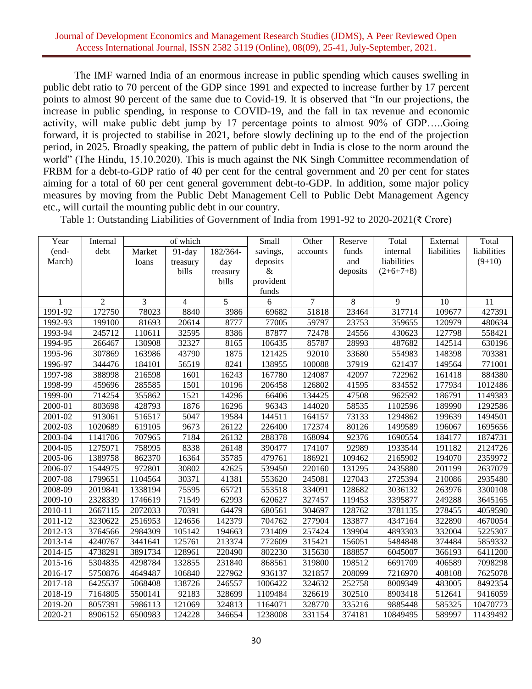The IMF warned India of an enormous increase in public spending which causes swelling in public debt ratio to 70 percent of the GDP since 1991 and expected to increase further by 17 percent points to almost 90 percent of the same due to Covid-19. It is observed that "In our projections, the increase in public spending, in response to COVID-19, and the fall in tax revenue and economic activity, will make public debt jump by 17 percentage points to almost 90% of GDP…..Going forward, it is projected to stabilise in 2021, before slowly declining up to the end of the projection period, in 2025. Broadly speaking, the pattern of public debt in India is close to the norm around the world" (The Hindu, 15.10.2020). This is much against the NK Singh Committee recommendation of FRBM for a debt-to-GDP ratio of 40 per cent for the central government and 20 per cent for states aiming for a total of 60 per cent general government debt-to-GDP. In addition, some major policy measures by moving from the Public Debt Management Cell to Public Debt Management Agency etc., will curtail the mounting public debt in our country.

| Year    | Internal       |         | of which       |          | Small     | Other    | Reserve  | Total       | External    | Total       |
|---------|----------------|---------|----------------|----------|-----------|----------|----------|-------------|-------------|-------------|
| (end-   | debt           | Market  | 91-day         | 182/364- | savings,  | accounts | funds    | internal    | liabilities | liabilities |
| March)  |                | loans   | treasury       | day      | deposits  |          | and      | liabilities |             | $(9+10)$    |
|         |                |         | bills          | treasury | $\&$      |          | deposits | $(2+6+7+8)$ |             |             |
|         |                |         |                | bills    | provident |          |          |             |             |             |
|         |                |         |                |          | funds     |          |          |             |             |             |
|         | $\overline{c}$ | 3       | $\overline{4}$ | 5        | 6         | 7        | 8        | 9           | 10          | 11          |
| 1991-92 | 172750         | 78023   | 8840           | 3986     | 69682     | 51818    | 23464    | 317714      | 109677      | 427391      |
| 1992-93 | 199100         | 81693   | 20614          | 8777     | 77005     | 59797    | 23753    | 359655      | 120979      | 480634      |
| 1993-94 | 245712         | 110611  | 32595          | 8386     | 87877     | 72478    | 24556    | 430623      | 127798      | 558421      |
| 1994-95 | 266467         | 130908  | 32327          | 8165     | 106435    | 85787    | 28993    | 487682      | 142514      | 630196      |
| 1995-96 | 307869         | 163986  | 43790          | 1875     | 121425    | 92010    | 33680    | 554983      | 148398      | 703381      |
| 1996-97 | 344476         | 184101  | 56519          | 8241     | 138955    | 100088   | 37919    | 621437      | 149564      | 771001      |
| 1997-98 | 388998         | 216598  | 1601           | 16243    | 167780    | 124087   | 42097    | 722962      | 161418      | 884380      |
| 1998-99 | 459696         | 285585  | 1501           | 10196    | 206458    | 126802   | 41595    | 834552      | 177934      | 1012486     |
| 1999-00 | 714254         | 355862  | 1521           | 14296    | 66406     | 134425   | 47508    | 962592      | 186791      | 1149383     |
| 2000-01 | 803698         | 428793  | 1876           | 16296    | 96343     | 144020   | 58535    | 1102596     | 189990      | 1292586     |
| 2001-02 | 913061         | 516517  | 5047           | 19584    | 144511    | 164157   | 73133    | 1294862     | 199639      | 1494501     |
| 2002-03 | 1020689        | 619105  | 9673           | 26122    | 226400    | 172374   | 80126    | 1499589     | 196067      | 1695656     |
| 2003-04 | 1141706        | 707965  | 7184           | 26132    | 288378    | 168094   | 92376    | 1690554     | 184177      | 1874731     |
| 2004-05 | 1275971        | 758995  | 8338           | 26148    | 390477    | 174107   | 92989    | 1933544     | 191182      | 2124726     |
| 2005-06 | 1389758        | 862370  | 16364          | 35785    | 479761    | 186921   | 109462   | 2165902     | 194070      | 2359972     |
| 2006-07 | 1544975        | 972801  | 30802          | 42625    | 539450    | 220160   | 131295   | 2435880     | 201199      | 2637079     |
| 2007-08 | 1799651        | 1104564 | 30371          | 41381    | 553620    | 245081   | 127043   | 2725394     | 210086      | 2935480     |
| 2008-09 | 2019841        | 1338194 | 75595          | 65721    | 553518    | 334091   | 128682   | 3036132     | 263976      | 3300108     |
| 2009-10 | 2328339        | 1746619 | 71549          | 62993    | 620627    | 327457   | 119453   | 3395877     | 249288      | 3645165     |
| 2010-11 | 2667115        | 2072033 | 70391          | 64479    | 680561    | 304697   | 128762   | 3781135     | 278455      | 4059590     |
| 2011-12 | 3230622        | 2516953 | 124656         | 142379   | 704762    | 277904   | 133877   | 4347164     | 322890      | 4670054     |
| 2012-13 | 3764566        | 2984309 | 105142         | 194663   | 731409    | 257424   | 139904   | 4893303     | 332004      | 5225307     |
| 2013-14 | 4240767        | 3441641 | 125761         | 213374   | 772609    | 315421   | 156051   | 5484848     | 374484      | 5859332     |
| 2014-15 | 4738291        | 3891734 | 128961         | 220490   | 802230    | 315630   | 188857   | 6045007     | 366193      | 6411200     |
| 2015-16 | 5304835        | 4298784 | 132855         | 231840   | 868561    | 319800   | 198512   | 6691709     | 406589      | 7098298     |
| 2016-17 | 5750876        | 4649487 | 106840         | 227962   | 936137    | 321857   | 208099   | 7216970     | 408108      | 7625078     |
| 2017-18 | 6425537        | 5068408 | 138726         | 246557   | 1006422   | 324632   | 252758   | 8009349     | 483005      | 8492354     |
| 2018-19 | 7164805        | 5500141 | 92183          | 328699   | 1109484   | 326619   | 302510   | 8903418     | 512641      | 9416059     |
| 2019-20 | 8057391        | 5986113 | 121069         | 324813   | 1164071   | 328770   | 335216   | 9885448     | 585325      | 10470773    |
| 2020-21 | 8906152        | 6500983 | 124228         | 346654   | 1238008   | 331154   | 374181   | 10849495    | 589997      | 11439492    |

Table 1: Outstanding Liabilities of Government of India from 1991-92 to 2020-2021(₹ Crore)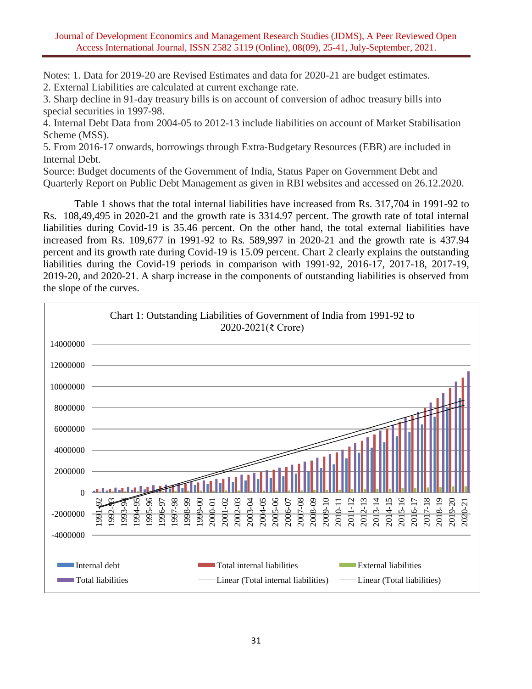Notes: 1. Data for 2019-20 are Revised Estimates and data for 2020-21 are budget estimates.

2. External Liabilities are calculated at current exchange rate.

3. Sharp decline in 91-day treasury bills is on account of conversion of adhoc treasury bills into special securities in 1997-98.

4. Internal Debt Data from 2004-05 to 2012-13 include liabilities on account of Market Stabilisation Scheme (MSS).

5. From 2016-17 onwards, borrowings through Extra-Budgetary Resources (EBR) are included in Internal Debt.

Source: Budget documents of the Government of India, Status Paper on Government Debt and Quarterly Report on Public Debt Management as given in RBI websites and accessed on 26.12.2020.

Table 1 shows that the total internal liabilities have increased from Rs. 317,704 in 1991-92 to Rs. 108,49,495 in 2020-21 and the growth rate is 3314.97 percent. The growth rate of total internal liabilities during Covid-19 is 35.46 percent. On the other hand, the total external liabilities have increased from Rs. 109,677 in 1991-92 to Rs. 589,997 in 2020-21 and the growth rate is 437.94 percent and its growth rate during Covid-19 is 15.09 percent. Chart 2 clearly explains the outstanding liabilities during the Covid-19 periods in comparison with 1991-92, 2016-17, 2017-18, 2017-19, 2019-20, and 2020-21. A sharp increase in the components of outstanding liabilities is observed from the slope of the curves.

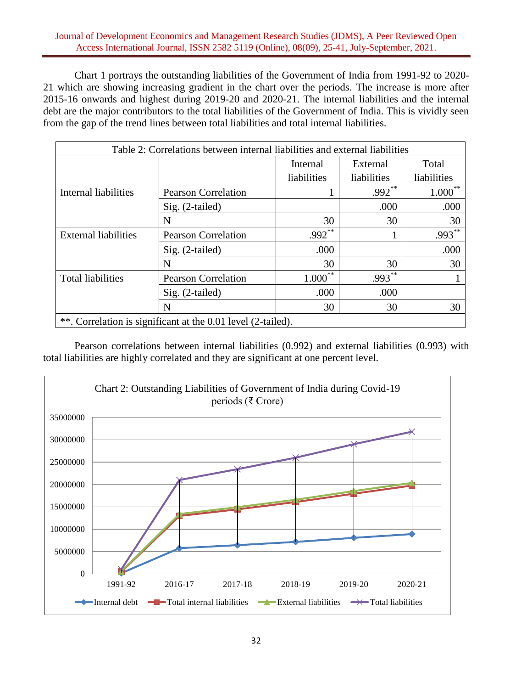### Journal of Development Economics and Management Research Studies (JDMS), A Peer Reviewed Open Access International Journal, ISSN 2582 5119 (Online), 08(09), 25-41, July-September, 2021.

Chart 1 portrays the outstanding liabilities of the Government of India from 1991-92 to 2020- 21 which are showing increasing gradient in the chart over the periods. The increase is more after 2015-16 onwards and highest during 2019-20 and 2020-21. The internal liabilities and the internal debt are the major contributors to the total liabilities of the Government of India. This is vividly seen from the gap of the trend lines between total liabilities and total internal liabilities.

| Table 2: Correlations between internal liabilities and external liabilities |                                                              |                         |             |             |  |  |  |  |
|-----------------------------------------------------------------------------|--------------------------------------------------------------|-------------------------|-------------|-------------|--|--|--|--|
|                                                                             | Total<br>Internal<br>External                                |                         |             |             |  |  |  |  |
|                                                                             |                                                              | liabilities             | liabilities | liabilities |  |  |  |  |
| Internal liabilities                                                        | <b>Pearson Correlation</b>                                   |                         | $.992**$    | **<br>1.000 |  |  |  |  |
|                                                                             | $Sig. (2-tailed)$                                            |                         | .000        | .000        |  |  |  |  |
|                                                                             | N                                                            | 30                      | 30          | 30          |  |  |  |  |
| <b>External liabilities</b>                                                 | <b>Pearson Correlation</b>                                   | $.992**$                |             | $.993***$   |  |  |  |  |
|                                                                             | $Sig. (2-tailed)$                                            | .000                    |             | .000        |  |  |  |  |
|                                                                             | N                                                            | 30                      | 30          | 30          |  |  |  |  |
| <b>Total liabilities</b>                                                    | <b>Pearson Correlation</b>                                   | **<br>$1.000^{\degree}$ | $.993***$   |             |  |  |  |  |
|                                                                             | Sig. (2-tailed)                                              | .000                    | .000        |             |  |  |  |  |
|                                                                             | N                                                            | 30                      | 30          | 30          |  |  |  |  |
|                                                                             | **. Correlation is significant at the 0.01 level (2-tailed). |                         |             |             |  |  |  |  |

Pearson correlations between internal liabilities (0.992) and external liabilities (0.993) with total liabilities are highly correlated and they are significant at one percent level.

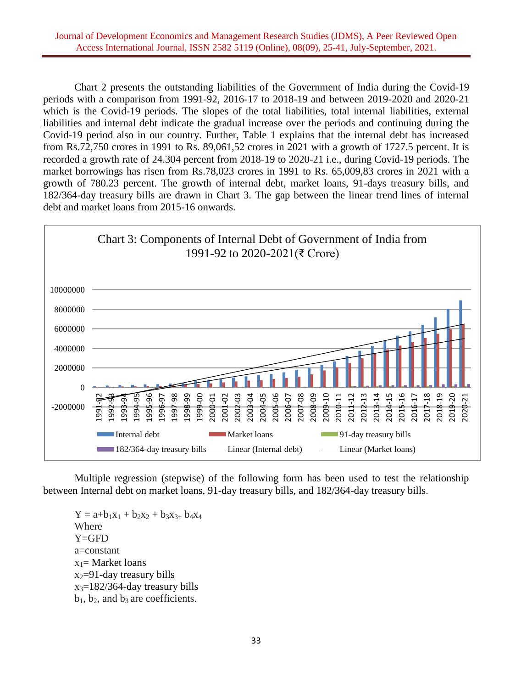Chart 2 presents the outstanding liabilities of the Government of India during the Covid-19 periods with a comparison from 1991-92, 2016-17 to 2018-19 and between 2019-2020 and 2020-21 which is the Covid-19 periods. The slopes of the total liabilities, total internal liabilities, external liabilities and internal debt indicate the gradual increase over the periods and continuing during the Covid-19 period also in our country. Further, Table 1 explains that the internal debt has increased from Rs.72,750 crores in 1991 to Rs. 89,061,52 crores in 2021 with a growth of 1727.5 percent. It is recorded a growth rate of 24.304 percent from 2018-19 to 2020-21 i.e., during Covid-19 periods. The market borrowings has risen from Rs.78,023 crores in 1991 to Rs. 65,009,83 crores in 2021 with a growth of 780.23 percent. The growth of internal debt, market loans, 91-days treasury bills, and 182/364-day treasury bills are drawn in Chart 3. The gap between the linear trend lines of internal debt and market loans from 2015-16 onwards.



Multiple regression (stepwise) of the following form has been used to test the relationship between Internal debt on market loans, 91-day treasury bills, and 182/364-day treasury bills.

 $Y = a+b_1x_1 + b_2x_2 + b_3x_3 + b_4x_4$ Where Y=GFD a=constant  $x_1$ = Market loans  $x_2=91$ -day treasury bills  $x_3=182/364$ -day treasury bills  $b_1$ ,  $b_2$ , and  $b_3$  are coefficients.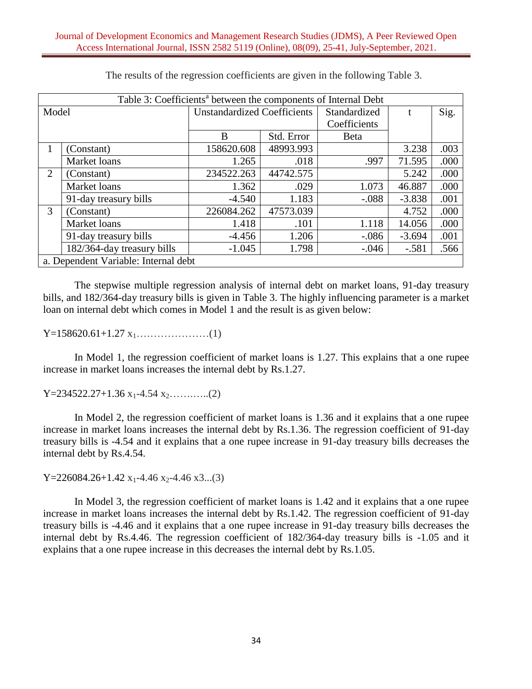|       | Table 3: Coefficients <sup>a</sup> between the components of Internal Debt |                                    |            |              |          |      |  |  |  |  |
|-------|----------------------------------------------------------------------------|------------------------------------|------------|--------------|----------|------|--|--|--|--|
| Model |                                                                            | <b>Unstandardized Coefficients</b> |            | Standardized | t        | Sig. |  |  |  |  |
|       |                                                                            |                                    |            | Coefficients |          |      |  |  |  |  |
|       |                                                                            | B                                  | Std. Error | <b>B</b> eta |          |      |  |  |  |  |
| 1     | (Constant)                                                                 | 158620.608                         | 48993.993  |              | 3.238    | .003 |  |  |  |  |
|       | Market loans                                                               | 1.265                              | .018       | .997         | 71.595   | .000 |  |  |  |  |
| 2     | (Constant)                                                                 | 234522.263                         | 44742.575  |              | 5.242    | .000 |  |  |  |  |
|       | Market loans                                                               | 1.362                              | .029       | 1.073        | 46.887   | .000 |  |  |  |  |
|       | 91-day treasury bills                                                      | $-4.540$                           | 1.183      | $-.088$      | $-3.838$ | .001 |  |  |  |  |
| 3     | (Constant)                                                                 | 226084.262                         | 47573.039  |              | 4.752    | .000 |  |  |  |  |
|       | Market loans                                                               | 1.418                              | .101       | 1.118        | 14.056   | .000 |  |  |  |  |
|       | 91-day treasury bills                                                      | $-4.456$                           | 1.206      | $-.086$      | $-3.694$ | .001 |  |  |  |  |
|       | 182/364-day treasury bills                                                 | $-1.045$                           | 1.798      | $-.046$      | $-.581$  | .566 |  |  |  |  |
|       | a. Dependent Variable: Internal debt                                       |                                    |            |              |          |      |  |  |  |  |

The results of the regression coefficients are given in the following Table 3.

The stepwise multiple regression analysis of internal debt on market loans, 91-day treasury bills, and 182/364-day treasury bills is given in Table 3. The highly influencing parameter is a market loan on internal debt which comes in Model 1 and the result is as given below:

Y=158620.61+1.27 x1…………………(1)

In Model 1, the regression coefficient of market loans is 1.27. This explains that a one rupee increase in market loans increases the internal debt by Rs.1.27.

 $Y=234522.27+1.36 x_1-4.54 x_2....(2)$ 

In Model 2, the regression coefficient of market loans is 1.36 and it explains that a one rupee increase in market loans increases the internal debt by Rs.1.36. The regression coefficient of 91-day treasury bills is -4.54 and it explains that a one rupee increase in 91-day treasury bills decreases the internal debt by Rs.4.54.

Y=226084.26+1.42  $x_1$ -4.46  $x_2$ -4.46  $x_3$ ...(3)

In Model 3, the regression coefficient of market loans is 1.42 and it explains that a one rupee increase in market loans increases the internal debt by Rs.1.42. The regression coefficient of 91-day treasury bills is -4.46 and it explains that a one rupee increase in 91-day treasury bills decreases the internal debt by Rs.4.46. The regression coefficient of 182/364-day treasury bills is -1.05 and it explains that a one rupee increase in this decreases the internal debt by Rs.1.05.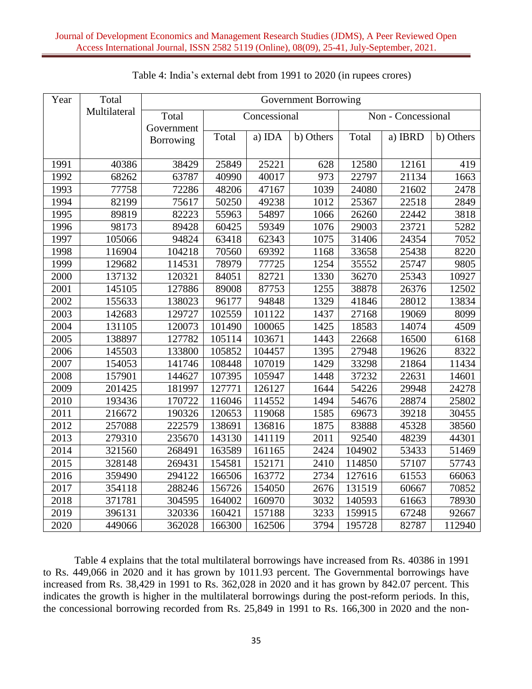| Year | Total        | Government Borrowing |        |                                    |           |        |         |           |  |
|------|--------------|----------------------|--------|------------------------------------|-----------|--------|---------|-----------|--|
|      | Multilateral | Total                |        | Concessional<br>Non - Concessional |           |        |         |           |  |
|      |              | Government           |        |                                    |           |        |         |           |  |
|      |              | Borrowing            | Total  | a) IDA                             | b) Others | Total  | a) IBRD | b) Others |  |
|      |              |                      |        |                                    |           |        |         |           |  |
| 1991 | 40386        | 38429                | 25849  | 25221                              | 628       | 12580  | 12161   | 419       |  |
| 1992 | 68262        | 63787                | 40990  | 40017                              | 973       | 22797  | 21134   | 1663      |  |
| 1993 | 77758        | 72286                | 48206  | 47167                              | 1039      | 24080  | 21602   | 2478      |  |
| 1994 | 82199        | 75617                | 50250  | 49238                              | 1012      | 25367  | 22518   | 2849      |  |
| 1995 | 89819        | 82223                | 55963  | 54897                              | 1066      | 26260  | 22442   | 3818      |  |
| 1996 | 98173        | 89428                | 60425  | 59349                              | 1076      | 29003  | 23721   | 5282      |  |
| 1997 | 105066       | 94824                | 63418  | 62343                              | 1075      | 31406  | 24354   | 7052      |  |
| 1998 | 116904       | 104218               | 70560  | 69392                              | 1168      | 33658  | 25438   | 8220      |  |
| 1999 | 129682       | 114531               | 78979  | 77725                              | 1254      | 35552  | 25747   | 9805      |  |
| 2000 | 137132       | 120321               | 84051  | 82721                              | 1330      | 36270  | 25343   | 10927     |  |
| 2001 | 145105       | 127886               | 89008  | 87753                              | 1255      | 38878  | 26376   | 12502     |  |
| 2002 | 155633       | 138023               | 96177  | 94848                              | 1329      | 41846  | 28012   | 13834     |  |
| 2003 | 142683       | 129727               | 102559 | 101122                             | 1437      | 27168  | 19069   | 8099      |  |
| 2004 | 131105       | 120073               | 101490 | 100065                             | 1425      | 18583  | 14074   | 4509      |  |
| 2005 | 138897       | 127782               | 105114 | 103671                             | 1443      | 22668  | 16500   | 6168      |  |
| 2006 | 145503       | 133800               | 105852 | 104457                             | 1395      | 27948  | 19626   | 8322      |  |
| 2007 | 154053       | 141746               | 108448 | 107019                             | 1429      | 33298  | 21864   | 11434     |  |
| 2008 | 157901       | 144627               | 107395 | 105947                             | 1448      | 37232  | 22631   | 14601     |  |
| 2009 | 201425       | 181997               | 127771 | 126127                             | 1644      | 54226  | 29948   | 24278     |  |
| 2010 | 193436       | 170722               | 116046 | 114552                             | 1494      | 54676  | 28874   | 25802     |  |
| 2011 | 216672       | 190326               | 120653 | 119068                             | 1585      | 69673  | 39218   | 30455     |  |
| 2012 | 257088       | 222579               | 138691 | 136816                             | 1875      | 83888  | 45328   | 38560     |  |
| 2013 | 279310       | 235670               | 143130 | 141119                             | 2011      | 92540  | 48239   | 44301     |  |
| 2014 | 321560       | 268491               | 163589 | 161165                             | 2424      | 104902 | 53433   | 51469     |  |
| 2015 | 328148       | 269431               | 154581 | 152171                             | 2410      | 114850 | 57107   | 57743     |  |
| 2016 | 359490       | 294122               | 166506 | 163772                             | 2734      | 127616 | 61553   | 66063     |  |
| 2017 | 354118       | 288246               | 156726 | 154050                             | 2676      | 131519 | 60667   | 70852     |  |
| 2018 | 371781       | 304595               | 164002 | 160970                             | 3032      | 140593 | 61663   | 78930     |  |
| 2019 | 396131       | 320336               | 160421 | 157188                             | 3233      | 159915 | 67248   | 92667     |  |
| 2020 | 449066       | 362028               | 166300 | 162506                             | 3794      | 195728 | 82787   | 112940    |  |

## Table 4: India's external debt from 1991 to 2020 (in rupees crores)

Table 4 explains that the total multilateral borrowings have increased from Rs. 40386 in 1991 to Rs. 449,066 in 2020 and it has grown by 1011.93 percent. The Governmental borrowings have increased from Rs. 38,429 in 1991 to Rs. 362,028 in 2020 and it has grown by 842.07 percent. This indicates the growth is higher in the multilateral borrowings during the post-reform periods. In this, the concessional borrowing recorded from Rs. 25,849 in 1991 to Rs. 166,300 in 2020 and the non-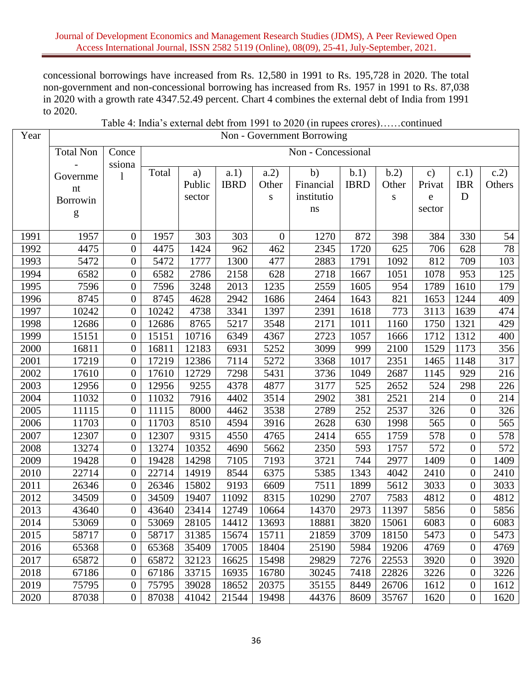### Journal of Development Economics and Management Research Studies (JDMS), A Peer Reviewed Open Access International Journal, ISSN 2582 5119 (Online), 08(09), 25-41, July-September, 2021.

concessional borrowings have increased from Rs. 12,580 in 1991 to Rs. 195,728 in 2020. The total non-government and non-concessional borrowing has increased from Rs. 1957 in 1991 to Rs. 87,038 in 2020 with a growth rate 4347.52.49 percent. Chart 4 combines the external debt of India from 1991 to 2020.

| Table 4: India's external debt from 1991 to 2020 (in rupees crores)continued |  |  |  |
|------------------------------------------------------------------------------|--|--|--|
|------------------------------------------------------------------------------|--|--|--|

| Year | Non - Government Borrowing |                  |       |                    |             |                  |            |             |           |               |                  |                   |
|------|----------------------------|------------------|-------|--------------------|-------------|------------------|------------|-------------|-----------|---------------|------------------|-------------------|
|      | <b>Total Non</b>           | Conce            |       | Non - Concessional |             |                  |            |             |           |               |                  |                   |
|      |                            | ssiona           | Total | a)                 | a.1)        | a.2)             | b)         | b.1)        | b.2)      | $\mathbf{c})$ | c.1)             | c.2)              |
|      | Governme                   | 1                |       | Public             | <b>IBRD</b> | Other            | Financial  | <b>IBRD</b> | Other     | Privat        | <b>IBR</b>       | Others            |
|      | nt<br>Borrowin             |                  |       | sector             |             | ${\bf S}$        | institutio |             | ${\bf S}$ | e             | D                |                   |
|      |                            |                  |       |                    |             |                  | $\bf ns$   |             |           | sector        |                  |                   |
|      | g                          |                  |       |                    |             |                  |            |             |           |               |                  |                   |
| 1991 | 1957                       | $\overline{0}$   | 1957  | 303                | 303         | $\boldsymbol{0}$ | 1270       | 872         | 398       | 384           | 330              | 54                |
| 1992 | 4475                       | $\boldsymbol{0}$ | 4475  | 1424               | 962         | 462              | 2345       | 1720        | 625       | 706           | 628              | 78                |
| 1993 | 5472                       | $\boldsymbol{0}$ | 5472  | 1777               | 1300        | 477              | 2883       | 1791        | 1092      | 812           | 709              | 103               |
| 1994 | 6582                       | $\boldsymbol{0}$ | 6582  | 2786               | 2158        | 628              | 2718       | 1667        | 1051      | 1078          | 953              | 125               |
| 1995 | 7596                       | $\overline{0}$   | 7596  | 3248               | 2013        | 1235             | 2559       | 1605        | 954       | 1789          | 1610             | 179               |
| 1996 | 8745                       | $\overline{0}$   | 8745  | 4628               | 2942        | 1686             | 2464       | 1643        | 821       | 1653          | 1244             | 409               |
| 1997 | 10242                      | $\overline{0}$   | 10242 | 4738               | 3341        | 1397             | 2391       | 1618        | 773       | 3113          | 1639             | 474               |
| 1998 | 12686                      | $\overline{0}$   | 12686 | 8765               | 5217        | 3548             | 2171       | 1011        | 1160      | 1750          | 1321             | 429               |
| 1999 | 15151                      | $\boldsymbol{0}$ | 15151 | 10716              | 6349        | 4367             | 2723       | 1057        | 1666      | 1712          | 1312             | 400               |
| 2000 | 16811                      | $\overline{0}$   | 16811 | 12183              | 6931        | 5252             | 3099       | 999         | 2100      | 1529          | 1173             | 356               |
| 2001 | 17219                      | $\boldsymbol{0}$ | 17219 | 12386              | 7114        | 5272             | 3368       | 1017        | 2351      | 1465          | 1148             | 317               |
| 2002 | 17610                      | $\boldsymbol{0}$ | 17610 | 12729              | 7298        | 5431             | 3736       | 1049        | 2687      | 1145          | 929              | 216               |
| 2003 | 12956                      | $\overline{0}$   | 12956 | 9255               | 4378        | 4877             | 3177       | 525         | 2652      | 524           | 298              | 226               |
| 2004 | 11032                      | $\overline{0}$   | 11032 | 7916               | 4402        | 3514             | 2902       | 381         | 2521      | 214           | $\overline{0}$   | 214               |
| 2005 | 11115                      | $\boldsymbol{0}$ | 11115 | 8000               | 4462        | 3538             | 2789       | 252         | 2537      | 326           | $\overline{0}$   | 326               |
| 2006 | 11703                      | $\overline{0}$   | 11703 | 8510               | 4594        | 3916             | 2628       | 630         | 1998      | 565           | $\boldsymbol{0}$ | 565               |
| 2007 | 12307                      | $\boldsymbol{0}$ | 12307 | 9315               | 4550        | 4765             | 2414       | 655         | 1759      | 578           | $\overline{0}$   | 578               |
| 2008 | 13274                      | $\overline{0}$   | 13274 | 10352              | 4690        | 5662             | 2350       | 593         | 1757      | 572           | $\overline{0}$   | 572               |
| 2009 | 19428                      | $\boldsymbol{0}$ | 19428 | 14298              | 7105        | 7193             | 3721       | 744         | 2977      | 1409          | $\boldsymbol{0}$ | 1409              |
| 2010 | 22714                      | $\boldsymbol{0}$ | 22714 | 14919              | 8544        | 6375             | 5385       | 1343        | 4042      | 2410          | $\boldsymbol{0}$ | 2410              |
| 2011 | 26346                      | $\overline{0}$   | 26346 | 15802              | 9193        | 6609             | 7511       | 1899        | 5612      | 3033          | $\overline{0}$   | 3033              |
| 2012 | 34509                      | $\boldsymbol{0}$ | 34509 | 19407              | 11092       | 8315             | 10290      | 2707        | 7583      | 4812          | $\overline{0}$   | 4812              |
| 2013 | 43640                      | $\boldsymbol{0}$ | 43640 | 23414              | 12749       | 10664            | 14370      | 2973        | 11397     | 5856          | $\overline{0}$   | 5856              |
| 2014 | 53069                      | $\boldsymbol{0}$ | 53069 | 28105              | 14412       | 13693            | 18881      | 3820        | 15061     | 6083          | $\overline{0}$   | $\overline{6}083$ |
| 2015 | 58717                      | $\boldsymbol{0}$ | 58717 | 31385              | 15674       | 15711            | 21859      | 3709        | 18150     | 5473          | $\overline{0}$   | 5473              |
| 2016 | 65368                      | $\boldsymbol{0}$ | 65368 | 35409              | 17005       | 18404            | 25190      | 5984        | 19206     | 4769          | $\overline{0}$   | 4769              |
| 2017 | 65872                      | $\boldsymbol{0}$ | 65872 | 32123              | 16625       | 15498            | 29829      | 7276        | 22553     | 3920          | $\overline{0}$   | 3920              |
| 2018 | 67186                      | 0                | 67186 | 33715              | 16935       | 16780            | 30245      | 7418        | 22826     | 3226          | $\overline{0}$   | 3226              |
| 2019 | 75795                      | $\boldsymbol{0}$ | 75795 | 39028              | 18652       | 20375            | 35155      | 8449        | 26706     | 1612          | $\overline{0}$   | 1612              |
| 2020 | 87038                      | $\boldsymbol{0}$ | 87038 | 41042              | 21544       | 19498            | 44376      | 8609        | 35767     | 1620          | $\overline{0}$   | 1620              |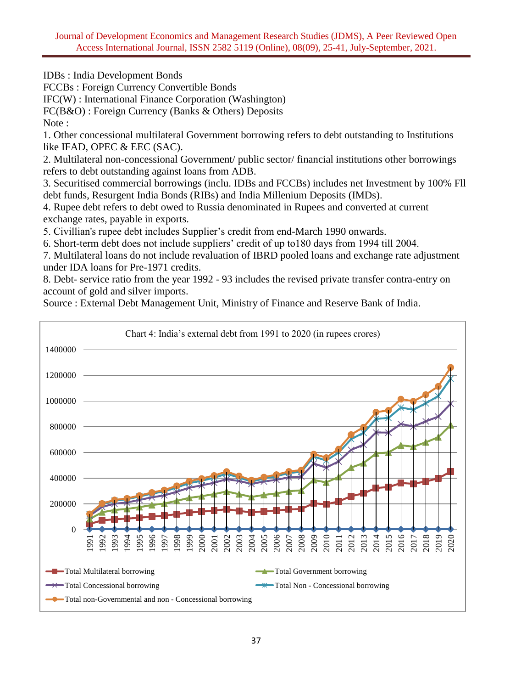IDBs : India Development Bonds

FCCBs : Foreign Currency Convertible Bonds

IFC(W) : International Finance Corporation (Washington)

FC(B&O) : Foreign Currency (Banks & Others) Deposits

Note:

1. Other concessional multilateral Government borrowing refers to debt outstanding to Institutions like IFAD, OPEC & EEC (SAC).

2. Multilateral non-concessional Government/ public sector/ financial institutions other borrowings refers to debt outstanding against loans from ADB.

3. Securitised commercial borrowings (inclu. IDBs and FCCBs) includes net Investment by 100% Fll debt funds, Resurgent India Bonds (RIBs) and India Millenium Deposits (IMDs).

4. Rupee debt refers to debt owed to Russia denominated in Rupees and converted at current exchange rates, payable in exports.

5. Civillian's rupee debt includes Supplier's credit from end-March 1990 onwards.

6. Short-term debt does not include suppliers' credit of up to180 days from 1994 till 2004.

7. Multilateral loans do not include revaluation of IBRD pooled loans and exchange rate adjustment under IDA loans for Pre-1971 credits.

8. Debt- service ratio from the year 1992 - 93 includes the revised private transfer contra-entry on account of gold and silver imports.

Source : External Debt Management Unit, Ministry of Finance and Reserve Bank of India.

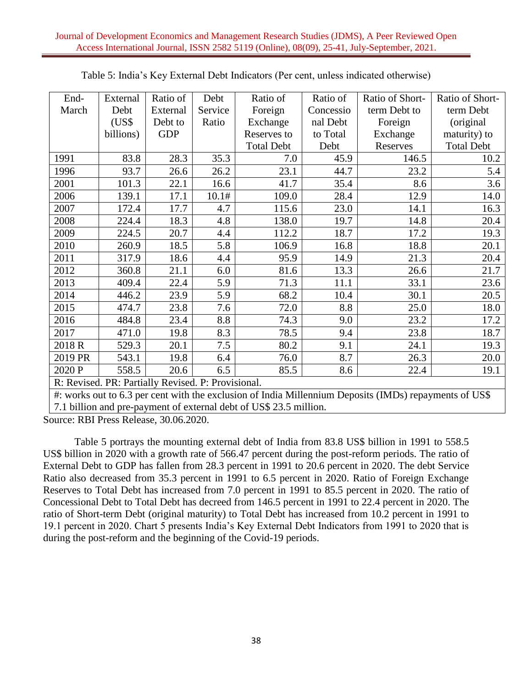| End-    | External                                           | Ratio of   | Debt    | Ratio of          | Ratio of  | Ratio of Short- | Ratio of Short-   |
|---------|----------------------------------------------------|------------|---------|-------------------|-----------|-----------------|-------------------|
| March   | Debt                                               | External   | Service | Foreign           | Concessio | term Debt to    | term Debt         |
|         | (US\$                                              | Debt to    | Ratio   | Exchange          | nal Debt  | Foreign         | (original)        |
|         | billions)                                          | <b>GDP</b> |         | Reserves to       | to Total  | Exchange        | maturity) to      |
|         |                                                    |            |         | <b>Total Debt</b> | Debt      | Reserves        | <b>Total Debt</b> |
| 1991    | 83.8                                               | 28.3       | 35.3    | 7.0               | 45.9      | 146.5           | 10.2              |
| 1996    | 93.7                                               | 26.6       | 26.2    | 23.1              | 44.7      | 23.2            | 5.4               |
| 2001    | 101.3                                              | 22.1       | 16.6    | 41.7              | 35.4      | 8.6             | 3.6               |
| 2006    | 139.1                                              | 17.1       | 10.1#   | 109.0             | 28.4      | 12.9            | 14.0              |
| 2007    | 172.4                                              | 17.7       | 4.7     | 115.6             | 23.0      | 14.1            | 16.3              |
| 2008    | 224.4                                              | 18.3       | 4.8     | 138.0             | 19.7      | 14.8            | 20.4              |
| 2009    | 224.5                                              | 20.7       | 4.4     | 112.2             | 18.7      | 17.2            | 19.3              |
| 2010    | 260.9                                              | 18.5       | 5.8     | 106.9             | 16.8      | 18.8            | 20.1              |
| 2011    | 317.9                                              | 18.6       | 4.4     | 95.9              | 14.9      | 21.3            | 20.4              |
| 2012    | 360.8                                              | 21.1       | 6.0     | 81.6              | 13.3      | 26.6            | 21.7              |
| 2013    | 409.4                                              | 22.4       | 5.9     | 71.3              | 11.1      | 33.1            | 23.6              |
| 2014    | 446.2                                              | 23.9       | 5.9     | 68.2              | 10.4      | 30.1            | 20.5              |
| 2015    | 474.7                                              | 23.8       | 7.6     | 72.0              | 8.8       | 25.0            | 18.0              |
| 2016    | 484.8                                              | 23.4       | 8.8     | 74.3              | 9.0       | 23.2            | 17.2              |
| 2017    | 471.0                                              | 19.8       | 8.3     | 78.5              | 9.4       | 23.8            | 18.7              |
| 2018 R  | 529.3                                              | 20.1       | 7.5     | 80.2              | 9.1       | 24.1            | 19.3              |
| 2019 PR | 543.1                                              | 19.8       | 6.4     | 76.0              | 8.7       | 26.3            | 20.0              |
| 2020 P  | 558.5                                              | 20.6       | 6.5     | 85.5              | 8.6       | 22.4            | 19.1              |
|         | R: Revised. PR: Partially Revised. P: Provisional. |            |         |                   |           |                 |                   |

R: Revised. PR: Partially Revised. P: Provisional.

#: works out to 6.3 per cent with the exclusion of India Millennium Deposits (IMDs) repayments of US\$ 7.1 billion and pre-payment of external debt of US\$ 23.5 million.

Source: RBI Press Release, 30.06.2020.

Table 5 portrays the mounting external debt of India from 83.8 US\$ billion in 1991 to 558.5 US\$ billion in 2020 with a growth rate of 566.47 percent during the post-reform periods. The ratio of External Debt to GDP has fallen from 28.3 percent in 1991 to 20.6 percent in 2020. The debt Service Ratio also decreased from 35.3 percent in 1991 to 6.5 percent in 2020. Ratio of Foreign Exchange Reserves to Total Debt has increased from 7.0 percent in 1991 to 85.5 percent in 2020. The ratio of Concessional Debt to Total Debt has decreed from 146.5 percent in 1991 to 22.4 percent in 2020. The ratio of Short-term Debt (original maturity) to Total Debt has increased from 10.2 percent in 1991 to 19.1 percent in 2020. Chart 5 presents India's Key External Debt Indicators from 1991 to 2020 that is during the post-reform and the beginning of the Covid-19 periods.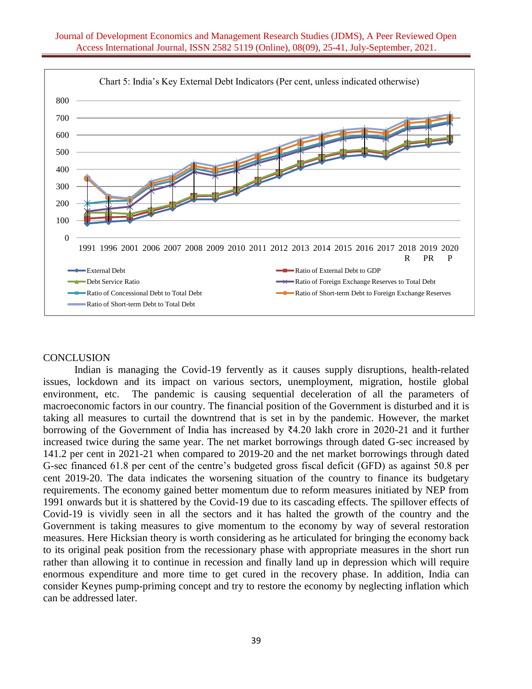

## **CONCLUSION**

Indian is managing the Covid-19 fervently as it causes supply disruptions, health-related issues, lockdown and its impact on various sectors, unemployment, migration, hostile global environment, etc. The pandemic is causing sequential deceleration of all the parameters of macroeconomic factors in our country. The financial position of the Government is disturbed and it is taking all measures to curtail the downtrend that is set in by the pandemic. However, the market borrowing of the Government of India has increased by ₹4.20 lakh crore in 2020-21 and it further increased twice during the same year. The net market borrowings through dated G-sec increased by 141.2 per cent in 2021-21 when compared to 2019-20 and the net market borrowings through dated G-sec financed 61.8 per cent of the centre's budgeted gross fiscal deficit (GFD) as against 50.8 per cent 2019-20. The data indicates the worsening situation of the country to finance its budgetary requirements. The economy gained better momentum due to reform measures initiated by NEP from 1991 onwards but it is shattered by the Covid-19 due to its cascading effects. The spillover effects of Covid-19 is vividly seen in all the sectors and it has halted the growth of the country and the Government is taking measures to give momentum to the economy by way of several restoration measures. Here Hicksian theory is worth considering as he articulated for bringing the economy back to its original peak position from the recessionary phase with appropriate measures in the short run rather than allowing it to continue in recession and finally land up in depression which will require enormous expenditure and more time to get cured in the recovery phase. In addition, India can consider Keynes pump-priming concept and try to restore the economy by neglecting inflation which can be addressed later.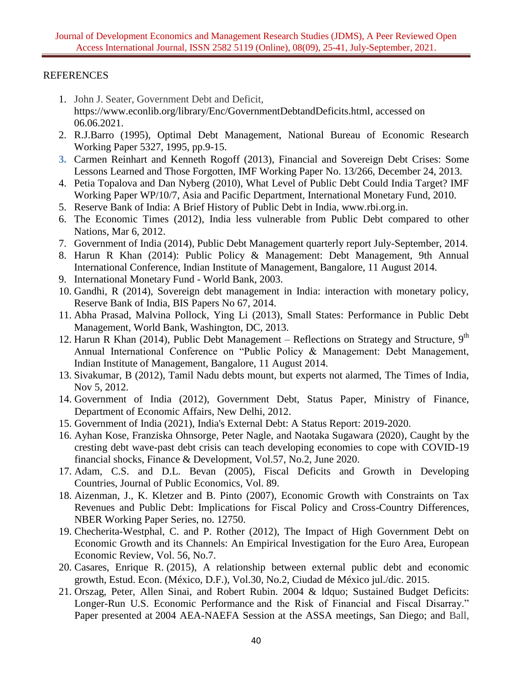# REFERENCES

- 1. John J. Seater, Government Debt and Deficit, [https://www.econlib.org/library/Enc/GovernmentDebtandDeficits.html,](https://www.econlib.org/library/Enc/GovernmentDebtandDeficits.html) accessed on 06.06.2021.
- 2. R.J.Barro (1995), Optimal Debt Management, National Bureau of Economic Research Working Paper 5327, 1995, pp.9-15.
- **3.** Carmen Reinhart and Kenneth Rogoff (2013), Financial and Sovereign Debt Crises: Some Lessons Learned and Those Forgotten, IMF Working Paper No. 13/266, December 24, 2013.
- 4. Petia Topalova and Dan Nyberg (2010), What Level of Public Debt Could India Target? IMF Working Paper WP/10/7, Asia and Pacific Department, International Monetary Fund, 2010.
- 5. Reserve Bank of India: A Brief History of Public Debt in India, www.rbi.org.in.
- 6. The Economic Times (2012), India less vulnerable from Public Debt compared to other Nations, Mar 6, 2012.
- 7. Government of India (2014), Public Debt Management quarterly report July-September, 2014.
- 8. Harun R Khan (2014): Public Policy & Management: Debt Management, 9th Annual International Conference, Indian Institute of Management, Bangalore, 11 August 2014.
- 9. International Monetary Fund World Bank, 2003.
- 10. Gandhi, R (2014), Sovereign debt management in India: interaction with monetary policy, Reserve Bank of India, BIS Papers No 67, 2014.
- 11. Abha Prasad, Malvina Pollock, Ying Li (2013), Small States: Performance in Public Debt Management, World Bank, Washington, DC, 2013.
- 12. Harun R Khan (2014), Public Debt Management Reflections on Strategy and Structure,  $9<sup>th</sup>$ Annual International Conference on "Public Policy & Management: Debt Management, Indian Institute of Management, Bangalore, 11 August 2014.
- 13. Sivakumar, B (2012), Tamil Nadu debts mount, but experts not alarmed, The Times of India, Nov 5, 2012.
- 14. Government of India (2012), Government Debt, Status Paper, Ministry of Finance, Department of Economic Affairs, New Delhi, 2012.
- 15. Government of India (2021), India's External Debt: A Status Report: 2019-2020.
- 16. Ayhan Kose, Franziska Ohnsorge, Peter Nagle, and Naotaka Sugawara (2020), Caught by the cresting debt wave-past debt crisis can teach developing economies to cope with COVID-19 financial shocks, Finance & Development, Vol.57, No.2, June 2020.
- 17. Adam, C.S. and D.L. Bevan (2005), Fiscal Deficits and Growth in Developing Countries, Journal of Public Economics*,* Vol. 89.
- 18. Aizenman, J., K. Kletzer and B. Pinto (2007), Economic Growth with Constraints on Tax Revenues and Public Debt: Implications for Fiscal Policy and Cross-Country Differences, NBER Working Paper Series, no. 12750.
- 19. Checherita-Westphal, C. and P. Rother (2012), The Impact of High Government Debt on Economic Growth and its Channels: An Empirical Investigation for the Euro Area, European Economic Review, Vol. 56, No.7.
- 20. Casares, Enrique R. (2015), A relationship between external public debt and economic growth, Estud. Econ. (México, D.F.), Vol.30, No.2, Ciudad de México jul./dic. 2015.
- 21. Orszag, Peter, Allen Sinai, and Robert Rubin. 2004 & ldquo; Sustained Budget Deficits: Longer-Run U.S. Economic Performance and the Risk of Financial and Fiscal Disarray." Paper presented at 2004 AEA-NAEFA Session at the ASSA meetings, San Diego; and Ball,